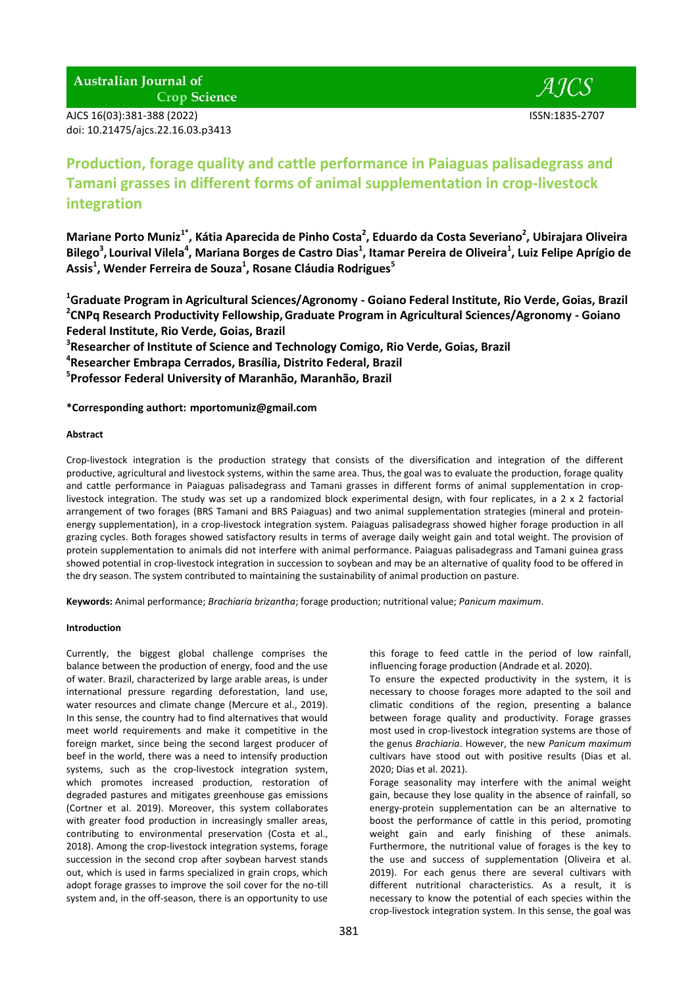**Australian Journal of Crop Science** 

AJCS 16(03):381-388 (2022) ISSN:1835-2707 doi: 10.21475/ajcs.22.16.03.p3413

# **Production, forage quality and cattle performance in Paiaguas palisadegrass and Tamani grasses in different forms of animal supplementation in crop-livestock integration**

**Mariane Porto Muniz1\* , Kátia Aparecida de Pinho Costa<sup>2</sup> , Eduardo da Costa Severiano<sup>2</sup> , Ubirajara Oliveira Bilego<sup>3</sup> , Lourival Vilela<sup>4</sup> , Mariana Borges de Castro Dias<sup>1</sup> , Itamar Pereira de Oliveira<sup>1</sup> , Luiz Felipe Aprígio de Assis<sup>1</sup> , Wender Ferreira de Souza<sup>1</sup> , Rosane Cláudia Rodrigues<sup>5</sup>**

**<sup>1</sup>Graduate Program in Agricultural Sciences/Agronomy - Goiano Federal Institute, Rio Verde, Goias, Brazil 2 CNPq Research Productivity Fellowship,Graduate Program in Agricultural Sciences/Agronomy - Goiano Federal Institute, Rio Verde, Goias, Brazil** 

**3 Researcher of Institute of Science and Technology Comigo, Rio Verde, Goias, Brazil** 

**4 Researcher Embrapa Cerrados, Brasília, Distrito Federal, Brazil** 

**5 Professor Federal University of Maranhão, Maranhão, Brazil**

# **\*Corresponding authort: mportomuniz@gmail.com**

# **Abstract**

Crop-livestock integration is the production strategy that consists of the diversification and integration of the different productive, agricultural and livestock systems, within the same area. Thus, the goal was to evaluate the production, forage quality and cattle performance in Paiaguas palisadegrass and Tamani grasses in different forms of animal supplementation in croplivestock integration. The study was set up a randomized block experimental design, with four replicates, in a 2 x 2 factorial arrangement of two forages (BRS Tamani and BRS Paiaguas) and two animal supplementation strategies (mineral and proteinenergy supplementation), in a crop-livestock integration system. Paiaguas palisadegrass showed higher forage production in all grazing cycles. Both forages showed satisfactory results in terms of average daily weight gain and total weight. The provision of protein supplementation to animals did not interfere with animal performance. Paiaguas palisadegrass and Tamani guinea grass showed potential in crop-livestock integration in succession to soybean and may be an alternative of quality food to be offered in the dry season. The system contributed to maintaining the sustainability of animal production on pasture.

**Keywords:** Animal performance; *Brachiaria brizantha*; forage production; nutritional value; *Panicum maximum*.

### **Introduction**

Currently, the biggest global challenge comprises the balance between the production of energy, food and the use of water. Brazil, characterized by large arable areas, is under international pressure regarding deforestation, land use, water resources and climate change (Mercure et al., 2019). In this sense, the country had to find alternatives that would meet world requirements and make it competitive in the foreign market, since being the second largest producer of beef in the world, there was a need to intensify production systems, such as the crop-livestock integration system, which promotes increased production, restoration of degraded pastures and mitigates greenhouse gas emissions (Cortner et al. 2019). Moreover, this system collaborates with greater food production in increasingly smaller areas, contributing to environmental preservation (Costa et al., 2018). Among the crop-livestock integration systems, forage succession in the second crop after soybean harvest stands out, which is used in farms specialized in grain crops, which adopt forage grasses to improve the soil cover for the no-till system and, in the off-season, there is an opportunity to use

this forage to feed cattle in the period of low rainfall, influencing forage production (Andrade et al. 2020).

To ensure the expected productivity in the system, it is necessary to choose forages more adapted to the soil and climatic conditions of the region, presenting a balance between forage quality and productivity. Forage grasses most used in crop-livestock integration systems are those of the genus *Brachiaria*. However, the new *Panicum maximum* cultivars have stood out with positive results (Dias et al. 2020; Dias et al. 2021).

Forage seasonality may interfere with the animal weight gain, because they lose quality in the absence of rainfall, so energy-protein supplementation can be an alternative to boost the performance of cattle in this period, promoting weight gain and early finishing of these animals. Furthermore, the nutritional value of forages is the key to the use and success of supplementation (Oliveira et al. 2019). For each genus there are several cultivars with different nutritional characteristics. As a result, it is necessary to know the potential of each species within the crop-livestock integration system. In this sense, the goal was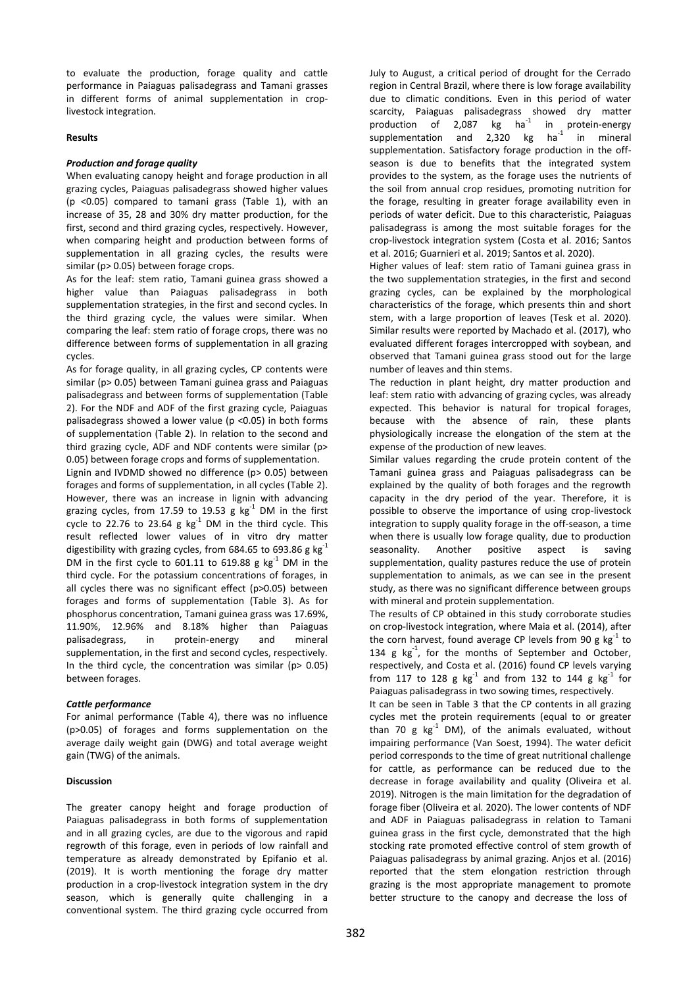to evaluate the production, forage quality and cattle performance in Paiaguas palisadegrass and Tamani grasses in different forms of animal supplementation in croplivestock integration.

## **Results**

## *Production and forage quality*

When evaluating canopy height and forage production in all grazing cycles, Paiaguas palisadegrass showed higher values (p <0.05) compared to tamani grass (Table 1), with an increase of 35, 28 and 30% dry matter production, for the first, second and third grazing cycles, respectively. However, when comparing height and production between forms of supplementation in all grazing cycles, the results were similar (p> 0.05) between forage crops.

As for the leaf: stem ratio, Tamani guinea grass showed a higher value than Paiaguas palisadegrass in both supplementation strategies, in the first and second cycles. In the third grazing cycle, the values were similar. When comparing the leaf: stem ratio of forage crops, there was no difference between forms of supplementation in all grazing cycles.

As for forage quality, in all grazing cycles, CP contents were similar (p> 0.05) between Tamani guinea grass and Paiaguas palisadegrass and between forms of supplementation (Table 2). For the NDF and ADF of the first grazing cycle, Paiaguas palisadegrass showed a lower value (p <0.05) in both forms of supplementation (Table 2). In relation to the second and third grazing cycle, ADF and NDF contents were similar (p> 0.05) between forage crops and forms of supplementation.

Lignin and IVDMD showed no difference (p> 0.05) between forages and forms of supplementation, in all cycles (Table 2). However, there was an increase in lignin with advancing grazing cycles, from 17.59 to 19.53 g  $\text{kg}^{-1}$  DM in the first cycle to 22.76 to 23.64  $g kg^{-1}$  DM in the third cycle. This result reflected lower values of in vitro dry matter digestibility with grazing cycles, from 684.65 to 693.86 g  $kg^{-1}$ DM in the first cycle to 601.11 to 619.88 g  $kg^{-1}$  DM in the third cycle. For the potassium concentrations of forages, in all cycles there was no significant effect (p>0.05) between forages and forms of supplementation (Table 3). As for phosphorus concentration, Tamani guinea grass was 17.69%, 11.90%, 12.96% and 8.18% higher than Paiaguas palisadegrass, in protein-energy and mineral supplementation, in the first and second cycles, respectively. In the third cycle, the concentration was similar ( $p$   $>$  0.05) between forages.

# *Cattle performance*

For animal performance (Table 4), there was no influence (p>0.05) of forages and forms supplementation on the average daily weight gain (DWG) and total average weight gain (TWG) of the animals.

# **Discussion**

The greater canopy height and forage production of Paiaguas palisadegrass in both forms of supplementation and in all grazing cycles, are due to the vigorous and rapid regrowth of this forage, even in periods of low rainfall and temperature as already demonstrated by Epifanio et al. (2019). It is worth mentioning the forage dry matter production in a crop-livestock integration system in the dry season, which is generally quite challenging in a conventional system. The third grazing cycle occurred from

July to August, a critical period of drought for the Cerrado region in Central Brazil, where there is low forage availability due to climatic conditions. Even in this period of water scarcity, Paiaguas palisadegrass showed dry matter production of 2,087  $kg$  ha<sup>-1</sup> in protein-energy supplementation and 2,320  $kg$  ha<sup>-1</sup> in mineral supplementation. Satisfactory forage production in the offseason is due to benefits that the integrated system provides to the system, as the forage uses the nutrients of the soil from annual crop residues, promoting nutrition for the forage, resulting in greater forage availability even in periods of water deficit. Due to this characteristic, Paiaguas palisadegrass is among the most suitable forages for the crop-livestock integration system (Costa et al. 2016; Santos et al. 2016; Guarnieri et al. 2019; Santos et al. 2020).

Higher values of leaf: stem ratio of Tamani guinea grass in the two supplementation strategies, in the first and second grazing cycles, can be explained by the morphological characteristics of the forage, which presents thin and short stem, with a large proportion of leaves (Tesk et al. 2020). Similar results were reported by Machado et al. (2017), who evaluated different forages intercropped with soybean, and observed that Tamani guinea grass stood out for the large number of leaves and thin stems.

The reduction in plant height, dry matter production and leaf: stem ratio with advancing of grazing cycles, was already expected. This behavior is natural for tropical forages, because with the absence of rain, these plants physiologically increase the elongation of the stem at the expense of the production of new leaves.

Similar values regarding the crude protein content of the Tamani guinea grass and Paiaguas palisadegrass can be explained by the quality of both forages and the regrowth capacity in the dry period of the year. Therefore, it is possible to observe the importance of using crop-livestock integration to supply quality forage in the off-season, a time when there is usually low forage quality, due to production seasonality. Another positive aspect is saving supplementation, quality pastures reduce the use of protein supplementation to animals, as we can see in the present study, as there was no significant difference between groups with mineral and protein supplementation.

The results of CP obtained in this study corroborate studies on crop-livestock integration, where Maia et al. (2014), after the corn harvest, found average CP levels from 90 g  $kg^{-1}$  to 134  $g$   $kg^{-1}$ , for the months of September and October, respectively, and Costa et al. (2016) found CP levels varying from 117 to 128 g  $\text{kg}^{-1}$  and from 132 to 144 g  $\text{kg}^{-1}$  for Paiaguas palisadegrass in two sowing times, respectively.

It can be seen in Table 3 that the CP contents in all grazing cycles met the protein requirements (equal to or greater than 70  $g$   $kg^{-1}$  DM), of the animals evaluated, without impairing performance (Van Soest, 1994). The water deficit period corresponds to the time of great nutritional challenge for cattle, as performance can be reduced due to the decrease in forage availability and quality (Oliveira et al. 2019). Nitrogen is the main limitation for the degradation of forage fiber (Oliveira et al. 2020). The lower contents of NDF and ADF in Paiaguas palisadegrass in relation to Tamani guinea grass in the first cycle, demonstrated that the high stocking rate promoted effective control of stem growth of Paiaguas palisadegrass by animal grazing. Anjos et al. (2016) reported that the stem elongation restriction through grazing is the most appropriate management to promote better structure to the canopy and decrease the loss of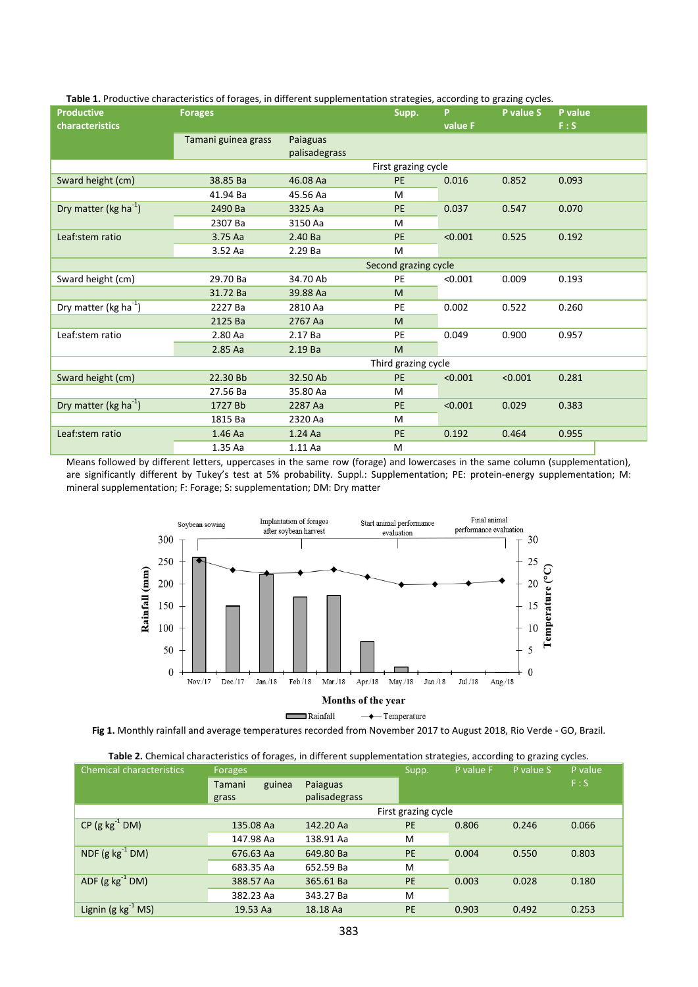|                             | <b>Table 1.</b> Productive characteristics of forages, in uniterent supplementation strategies, according to grazing cycles. |               |                     |         |           |         |  |
|-----------------------------|------------------------------------------------------------------------------------------------------------------------------|---------------|---------------------|---------|-----------|---------|--|
| <b>Productive</b>           | <b>Forages</b>                                                                                                               |               | Supp.               | P.      | P value S | P value |  |
| characteristics             |                                                                                                                              |               |                     | value F |           | F: S    |  |
|                             | Tamani guinea grass                                                                                                          | Paiaguas      |                     |         |           |         |  |
|                             |                                                                                                                              | palisadegrass |                     |         |           |         |  |
|                             |                                                                                                                              |               | First grazing cycle |         |           |         |  |
| Sward height (cm)           | 38.85 Ba                                                                                                                     | 46.08 Aa      | <b>PE</b>           | 0.016   | 0.852     | 0.093   |  |
|                             | 41.94 Ba                                                                                                                     | 45.56 Aa      | M                   |         |           |         |  |
| Dry matter (kg ha $^{-1}$ ) | 2490 Ba                                                                                                                      | 3325 Aa       | PE                  | 0.037   | 0.547     | 0.070   |  |
|                             | 2307 Ba                                                                                                                      | 3150 Aa       | M                   |         |           |         |  |
| Leaf:stem ratio             | 3.75 Aa                                                                                                                      | 2.40 Ba       | PE                  | < 0.001 | 0.525     | 0.192   |  |
|                             | 3.52 Aa                                                                                                                      | 2.29 Ba       | M                   |         |           |         |  |
|                             | Second grazing cycle                                                                                                         |               |                     |         |           |         |  |
| Sward height (cm)           | 29.70 Ba                                                                                                                     | 34.70 Ab      | PE                  | < 0.001 | 0.009     | 0.193   |  |
|                             | 31.72 Ba                                                                                                                     | 39.88 Aa      | M                   |         |           |         |  |
| Dry matter (kg ha $^{-1}$ ) | 2227 Ba                                                                                                                      | 2810 Aa       | PE                  | 0.002   | 0.522     | 0.260   |  |
|                             | 2125 Ba                                                                                                                      | 2767 Aa       | M                   |         |           |         |  |
| Leaf:stem ratio             | 2.80 Aa                                                                                                                      | 2.17 Ba       | PE                  | 0.049   | 0.900     | 0.957   |  |
|                             | 2.85 Aa                                                                                                                      | 2.19 Ba       | M                   |         |           |         |  |
|                             |                                                                                                                              |               | Third grazing cycle |         |           |         |  |
| Sward height (cm)           | 22.30 Bb                                                                                                                     | 32.50 Ab      | <b>PE</b>           | < 0.001 | < 0.001   | 0.281   |  |
|                             | 27.56 Ba                                                                                                                     | 35.80 Aa      | М                   |         |           |         |  |
| Dry matter (kg ha $^{-1}$ ) | 1727 Bb                                                                                                                      | 2287 Aa       | PE                  | < 0.001 | 0.029     | 0.383   |  |
|                             | 1815 Ba                                                                                                                      | 2320 Aa       | M                   |         |           |         |  |
| Leaf:stem ratio             | 1.46 Aa                                                                                                                      | $1.24$ Aa     | PE                  | 0.192   | 0.464     | 0.955   |  |
|                             | 1.35 Aa                                                                                                                      | 1.11 Aa       | M                   |         |           |         |  |

# **Table 1.** Productive characteristics of forages, in different supplementation strategies, according to grazing cycles.

Means followed by different letters, uppercases in the same row (forage) and lowercases in the same column (supplementation), are significantly different by Tukey's test at 5% probability. Suppl.: Supplementation; PE: protein-energy supplementation; M: mineral supplementation; F: Forage; S: supplementation; DM: Dry matter



Rainfall  $\longrightarrow$  Temperature

**Fig 1.** Monthly rainfall and average temperatures recorded from November 2017 to August 2018, Rio Verde - GO, Brazil.

| Table 2. Chemical characteristics of forages, in different supplementation strategies, according to grazing cycles. |  |  |  |
|---------------------------------------------------------------------------------------------------------------------|--|--|--|
|---------------------------------------------------------------------------------------------------------------------|--|--|--|

| <b>Chemical characteristics</b> | <b>Forages</b>   | Supp.         | P value F           | P value S | P value |       |
|---------------------------------|------------------|---------------|---------------------|-----------|---------|-------|
|                                 | Tamani<br>guinea | Paiaguas      |                     |           |         | F: S  |
|                                 | grass            | palisadegrass |                     |           |         |       |
|                                 |                  |               | First grazing cycle |           |         |       |
| $CP (g kg-1 DM)$                | 135.08 Aa        | 142.20 Aa     | <b>PE</b>           | 0.806     | 0.246   | 0.066 |
|                                 | 147.98 Aa        | 138.91 Aa     | M                   |           |         |       |
| NDF $(g kg^{-1} DM)$            | 676.63 Aa        | 649.80 Ba     | <b>PE</b>           | 0.004     | 0.550   | 0.803 |
|                                 | 683.35 Aa        | 652.59 Ba     | м                   |           |         |       |
| ADF $(g kg^{-1} DM)$            | 388.57 Aa        | 365.61 Ba     | PE                  | 0.003     | 0.028   | 0.180 |
|                                 | 382.23 Aa        | 343.27 Ba     | м                   |           |         |       |
| Lignin (g $kg^{-1}$ MS)         | 19.53 Aa         | 18.18 Aa      | PE                  | 0.903     | 0.492   | 0.253 |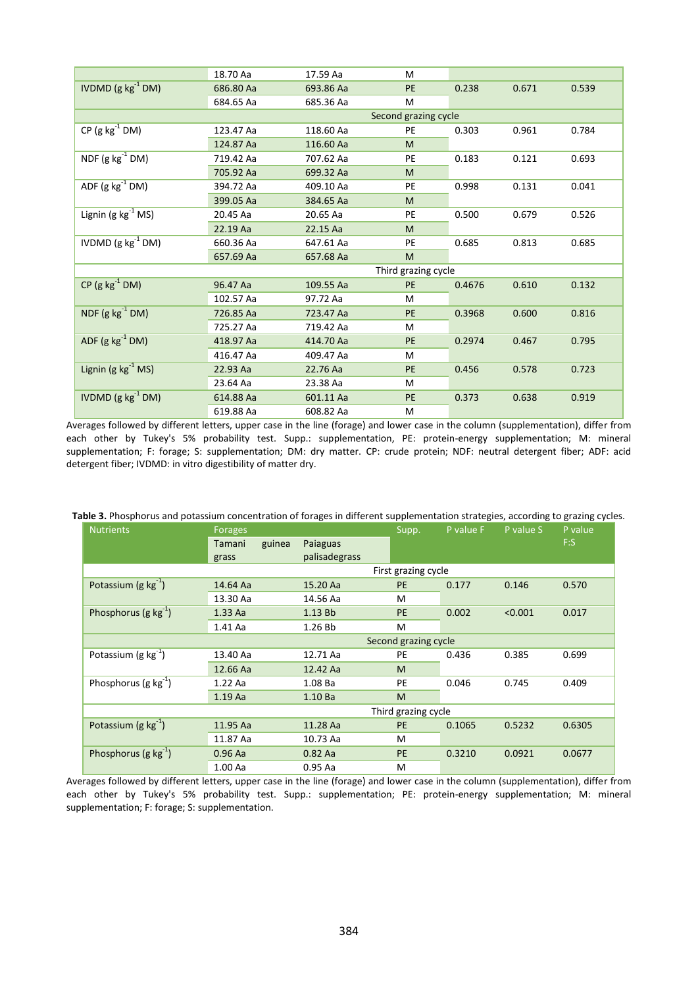|                         | 18.70 Aa             | 17.59 Aa  | M                   |        |       |       |
|-------------------------|----------------------|-----------|---------------------|--------|-------|-------|
| IVDMD (g $kg^{-1}$ DM)  | 686.80 Aa            | 693.86 Aa | <b>PE</b>           | 0.238  | 0.671 | 0.539 |
|                         | 684.65 Aa            | 685.36 Aa | М                   |        |       |       |
|                         | Second grazing cycle |           |                     |        |       |       |
| CP ( $g kg^{-1}$ DM)    | 123.47 Aa            | 118.60 Aa | PE                  | 0.303  | 0.961 | 0.784 |
|                         | 124.87 Aa            | 116.60 Aa | M                   |        |       |       |
| NDF $(g kg^{-1} DM)$    | 719.42 Aa            | 707.62 Aa | PE                  | 0.183  | 0.121 | 0.693 |
|                         | 705.92 Aa            | 699.32 Aa | M                   |        |       |       |
| ADF $(g kg^{-1} DM)$    | 394.72 Aa            | 409.10 Aa | PE                  | 0.998  | 0.131 | 0.041 |
|                         | 399.05 Aa            | 384.65 Aa | M                   |        |       |       |
| Lignin $(g kg^{-1} MS)$ | 20.45 Aa             | 20.65 Aa  | PE                  | 0.500  | 0.679 | 0.526 |
|                         | 22.19 Aa             | 22.15 Aa  | M                   |        |       |       |
| IVDMD $(g kg^{-1} DM)$  | 660.36 Aa            | 647.61 Aa | PE                  | 0.685  | 0.813 | 0.685 |
|                         | 657.69 Aa            | 657.68 Aa | M                   |        |       |       |
|                         |                      |           | Third grazing cycle |        |       |       |
| $CP (g kg-1 DM)$        | 96.47 Aa             | 109.55 Aa | <b>PE</b>           | 0.4676 | 0.610 | 0.132 |
|                         | 102.57 Aa            | 97.72 Aa  | M                   |        |       |       |
| NDF $(g kg^{-1} DM)$    | 726.85 Aa            | 723.47 Aa | <b>PE</b>           | 0.3968 | 0.600 | 0.816 |
|                         | 725.27 Aa            | 719.42 Aa | M                   |        |       |       |
| ADF (g $kg^{-1}$ DM)    | 418.97 Aa            | 414.70 Aa | PE                  | 0.2974 | 0.467 | 0.795 |
|                         | 416.47 Aa            | 409.47 Aa | М                   |        |       |       |
| Lignin (g $kg^{-1}$ MS) | 22.93 Aa             | 22.76 Aa  | PE                  | 0.456  | 0.578 | 0.723 |
|                         | 23.64 Aa             | 23.38 Aa  | M                   |        |       |       |
| IVDMD (g $kg^{-1}$ DM)  | 614.88 Aa            | 601.11 Aa | PE                  | 0.373  | 0.638 | 0.919 |
|                         | 619.88 Aa            | 608.82 Aa | М                   |        |       |       |

Averages followed by different letters, upper case in the line (forage) and lower case in the column (supplementation), differ from each other by Tukey's 5% probability test. Supp.: supplementation, PE: protein-energy supplementation; M: mineral supplementation; F: forage; S: supplementation; DM: dry matter. CP: crude protein; NDF: neutral detergent fiber; ADF: acid detergent fiber; IVDMD: in vitro digestibility of matter dry.

**Table 3.** Phosphorus and potassium concentration of forages in different supplementation strategies, according to grazing cycles.

| <b>Nutrients</b>          | <b>Forages</b>               |  |                    |                     | Supp.     | P value F | P value S | P value |  |
|---------------------------|------------------------------|--|--------------------|---------------------|-----------|-----------|-----------|---------|--|
|                           | Tamani<br>guinea<br>Paiaguas |  |                    |                     |           | F: S      |           |         |  |
|                           | grass                        |  | palisadegrass      |                     |           |           |           |         |  |
|                           | First grazing cycle          |  |                    |                     |           |           |           |         |  |
| Potassium (g $kg^{-1}$ )  | 14.64 Aa                     |  | 15.20 Aa           |                     | <b>PE</b> | 0.177     | 0.146     | 0.570   |  |
|                           | 13.30 Aa                     |  | 14.56 Aa           |                     | м         |           |           |         |  |
| Phosphorus (g $kg^{-1}$ ) | 1.33Aa                       |  | 1.13 <sub>bb</sub> |                     | <b>PE</b> | 0.002     | < 0.001   | 0.017   |  |
|                           | 1.41 Aa                      |  | 1.26 Bb            |                     | M         |           |           |         |  |
|                           | Second grazing cycle         |  |                    |                     |           |           |           |         |  |
| Potassium (g $kg^{-1}$ )  | 13.40 Aa                     |  | 12.71 Aa           |                     | <b>PE</b> | 0.436     | 0.385     | 0.699   |  |
|                           | 12.66 Aa                     |  | 12.42 Aa           |                     | M         |           |           |         |  |
| Phosphorus (g $kg^{-1}$ ) | $1.22$ Aa                    |  | 1.08 Ba            |                     | <b>PE</b> | 0.046     | 0.745     | 0.409   |  |
|                           | 1.19Aa                       |  | 1.10Ba             |                     | M         |           |           |         |  |
|                           | Third grazing cycle          |  |                    |                     |           |           |           |         |  |
| Potassium (g $kg^{-1}$ )  | 11.95 Aa                     |  | 11.28 Aa           | 0.1065<br><b>PE</b> |           | 0.5232    | 0.6305    |         |  |
|                           | 11.87 Aa                     |  | 10.73 Aa           |                     | м         |           |           |         |  |
| Phosphorus (g $kg^{-1}$ ) | $0.96$ Aa                    |  | $0.82$ Aa          |                     | <b>PE</b> | 0.3210    | 0.0921    | 0.0677  |  |
|                           | 1.00 Aa                      |  | 0.95 Aa            |                     | M         |           |           |         |  |

Averages followed by different letters, upper case in the line (forage) and lower case in the column (supplementation), differ from each other by Tukey's 5% probability test. Supp.: supplementation; PE: protein-energy supplementation; M: mineral supplementation; F: forage; S: supplementation.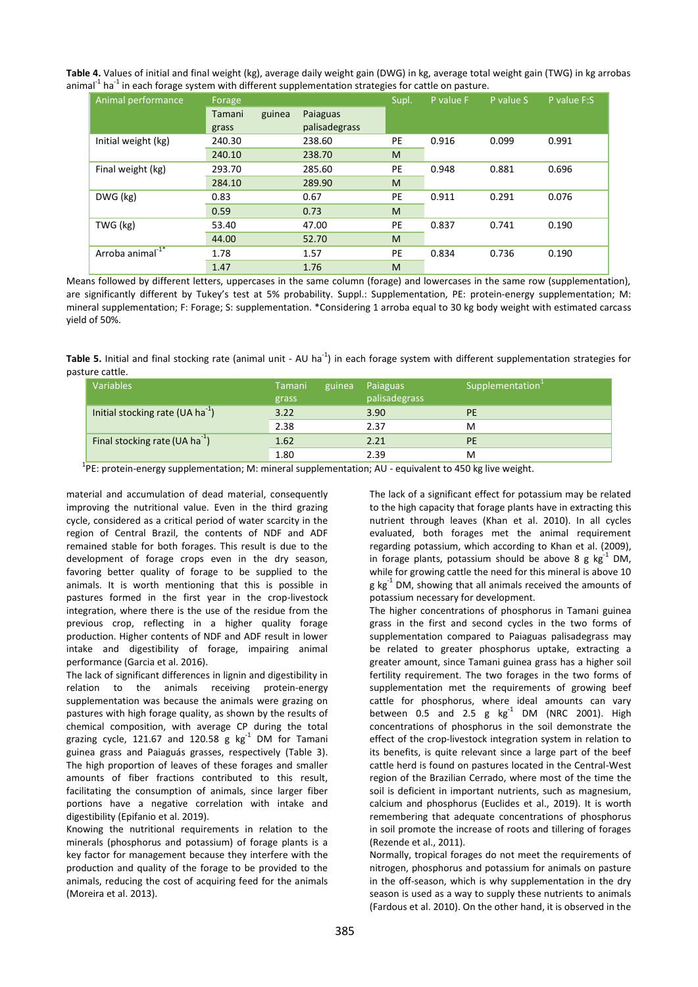**Table 4.** Values of initial and final weight (kg), average daily weight gain (DWG) in kg, average total weight gain (TWG) in kg arrobas animal<sup>-1</sup> ha<sup>-1</sup> in each forage system with different supplementation strategies for cattle on pasture.

| Animal performance           | Forage |        |               | Supl. | P value F | P value S | P value F:S |
|------------------------------|--------|--------|---------------|-------|-----------|-----------|-------------|
|                              | Tamani | guinea | Paiaguas      |       |           |           |             |
|                              | grass  |        | palisadegrass |       |           |           |             |
| Initial weight (kg)          | 240.30 |        | 238.60        | PE    | 0.916     | 0.099     | 0.991       |
|                              | 240.10 |        | 238.70        | M     |           |           |             |
| Final weight (kg)            | 293.70 |        | 285.60        | PE    | 0.948     | 0.881     | 0.696       |
|                              | 284.10 |        | 289.90        | M     |           |           |             |
| DWG (kg)                     | 0.83   |        | 0.67          | PE    | 0.911     | 0.291     | 0.076       |
|                              | 0.59   |        | 0.73          | M     |           |           |             |
| TWG (kg)                     | 53.40  |        | 47.00         | PE    | 0.837     | 0.741     | 0.190       |
|                              | 44.00  |        | 52.70         | M     |           |           |             |
| Arroba animal <sup>-1*</sup> | 1.78   |        | 1.57          | PE    | 0.834     | 0.736     | 0.190       |
|                              | 1.47   |        | 1.76          | M     |           |           |             |

Means followed by different letters, uppercases in the same column (forage) and lowercases in the same row (supplementation), are significantly different by Tukey's test at 5% probability. Suppl.: Supplementation, PE: protein-energy supplementation; M: mineral supplementation; F: Forage; S: supplementation. \*Considering 1 arroba equal to 30 kg body weight with estimated carcass yield of 50%.

Table 5. Initial and final stocking rate (animal unit - AU ha<sup>-1</sup>) in each forage system with different supplementation strategies for pasture cattle.

| <b>Variables</b>                             | Tamani<br>grass | guinea | Paiaguas<br>palisadegrass | Supplementation |
|----------------------------------------------|-----------------|--------|---------------------------|-----------------|
| Initial stocking rate (UA ha <sup>-1</sup> ) | 3.22            |        | 3.90                      | PE              |
|                                              | 2.38            |        | 2.37                      | M               |
| Final stocking rate (UA ha <sup>-1</sup> )   | 1.62            |        | 2.21                      | PE              |
|                                              | 1.80            |        | 2.39                      | M               |

<sup>1</sup>PE: protein-energy supplementation; M: mineral supplementation; AU - equivalent to 450 kg live weight.

material and accumulation of dead material, consequently improving the nutritional value. Even in the third grazing cycle, considered as a critical period of water scarcity in the region of Central Brazil, the contents of NDF and ADF remained stable for both forages. This result is due to the development of forage crops even in the dry season, favoring better quality of forage to be supplied to the animals. It is worth mentioning that this is possible in pastures formed in the first year in the crop-livestock integration, where there is the use of the residue from the previous crop, reflecting in a higher quality forage production. Higher contents of NDF and ADF result in lower intake and digestibility of forage, impairing animal performance (Garcia et al. 2016).

The lack of significant differences in lignin and digestibility in relation to the animals receiving protein-energy supplementation was because the animals were grazing on pastures with high forage quality, as shown by the results of chemical composition, with average CP during the total grazing cycle, 121.67 and 120.58 g  $\text{kg}^{-1}$  DM for Tamani guinea grass and Paiaguás grasses, respectively (Table 3). The high proportion of leaves of these forages and smaller amounts of fiber fractions contributed to this result, facilitating the consumption of animals, since larger fiber portions have a negative correlation with intake and digestibility (Epifanio et al. 2019).

Knowing the nutritional requirements in relation to the minerals (phosphorus and potassium) of forage plants is a key factor for management because they interfere with the production and quality of the forage to be provided to the animals, reducing the cost of acquiring feed for the animals (Moreira et al. 2013).

The lack of a significant effect for potassium may be related to the high capacity that forage plants have in extracting this nutrient through leaves (Khan et al. 2010). In all cycles evaluated, both forages met the animal requirement regarding potassium, which according to Khan et al. (2009), in forage plants, potassium should be above 8 g  $kg^{-1}$  DM, while for growing cattle the need for this mineral is above 10  $g$  kg<sup>-1</sup> DM, showing that all animals received the amounts of potassium necessary for development.

The higher concentrations of phosphorus in Tamani guinea grass in the first and second cycles in the two forms of supplementation compared to Paiaguas palisadegrass may be related to greater phosphorus uptake, extracting a greater amount, since Tamani guinea grass has a higher soil fertility requirement. The two forages in the two forms of supplementation met the requirements of growing beef cattle for phosphorus, where ideal amounts can vary between 0.5 and 2.5  $g$   $kg^{-1}$  DM (NRC 2001). High concentrations of phosphorus in the soil demonstrate the effect of the crop-livestock integration system in relation to its benefits, is quite relevant since a large part of the beef cattle herd is found on pastures located in the Central-West region of the Brazilian Cerrado, where most of the time the soil is deficient in important nutrients, such as magnesium, calcium and phosphorus (Euclides et al., 2019). It is worth remembering that adequate concentrations of phosphorus in soil promote the increase of roots and tillering of forages (Rezende et al., 2011).

Normally, tropical forages do not meet the requirements of nitrogen, phosphorus and potassium for animals on pasture in the off-season, which is why supplementation in the dry season is used as a way to supply these nutrients to animals (Fardous et al. 2010). On the other hand, it is observed in the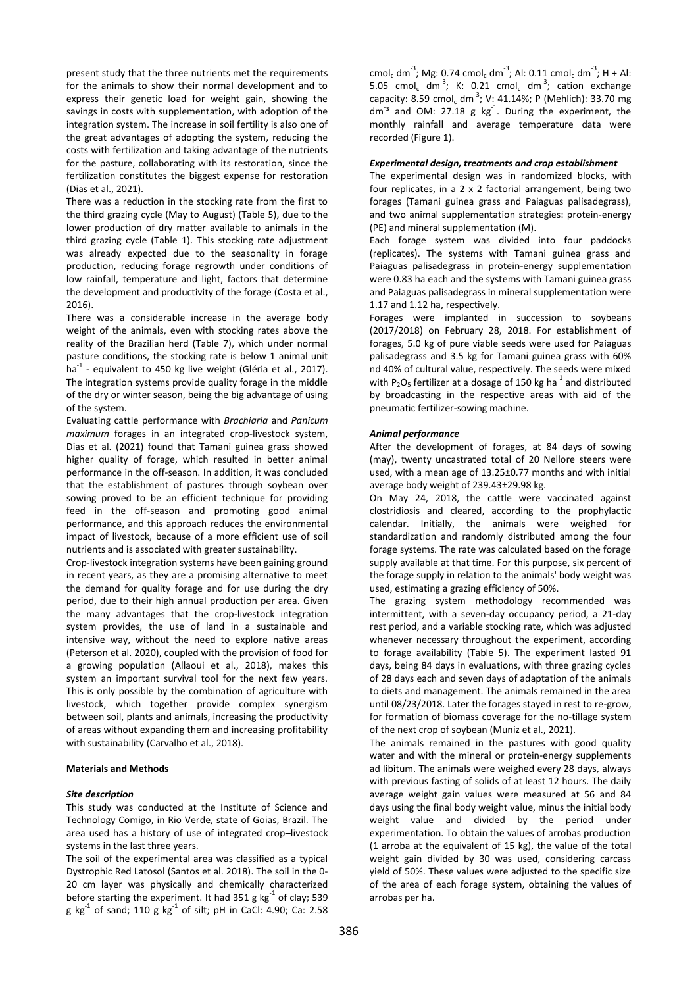present study that the three nutrients met the requirements for the animals to show their normal development and to express their genetic load for weight gain, showing the savings in costs with supplementation, with adoption of the integration system. The increase in soil fertility is also one of the great advantages of adopting the system, reducing the costs with fertilization and taking advantage of the nutrients for the pasture, collaborating with its restoration, since the fertilization constitutes the biggest expense for restoration (Dias et al., 2021).

There was a reduction in the stocking rate from the first to the third grazing cycle (May to August) (Table 5), due to the lower production of dry matter available to animals in the third grazing cycle (Table 1). This stocking rate adjustment was already expected due to the seasonality in forage production, reducing forage regrowth under conditions of low rainfall, temperature and light, factors that determine the development and productivity of the forage (Costa et al., 2016).

There was a considerable increase in the average body weight of the animals, even with stocking rates above the reality of the Brazilian herd (Table 7), which under normal pasture conditions, the stocking rate is below 1 animal unit ha<sup>-1</sup> - equivalent to 450 kg live weight (Gléria et al., 2017). The integration systems provide quality forage in the middle of the dry or winter season, being the big advantage of using of the system.

Evaluating cattle performance with *Brachiaria* and *Panicum maximum* forages in an integrated crop-livestock system, Dias et al. (2021) found that Tamani guinea grass showed higher quality of forage, which resulted in better animal performance in the off-season. In addition, it was concluded that the establishment of pastures through soybean over sowing proved to be an efficient technique for providing feed in the off-season and promoting good animal performance, and this approach reduces the environmental impact of livestock, because of a more efficient use of soil nutrients and is associated with greater sustainability.

Crop-livestock integration systems have been gaining ground in recent years, as they are a promising alternative to meet the demand for quality forage and for use during the dry period, due to their high annual production per area. Given the many advantages that the crop-livestock integration system provides, the use of land in a sustainable and intensive way, without the need to explore native areas (Peterson et al. 2020), coupled with the provision of food for a growing population (Allaoui et al., 2018), makes this system an important survival tool for the next few years. This is only possible by the combination of agriculture with livestock, which together provide complex synergism between soil, plants and animals, increasing the productivity of areas without expanding them and increasing profitability with sustainability (Carvalho et al., 2018).

## **Materials and Methods**

#### *Site description*

This study was conducted at the Institute of Science and Technology Comigo, in Rio Verde, state of Goias, Brazil. The area used has a history of use of integrated crop–livestock systems in the last three years.

The soil of the experimental area was classified as a typical Dystrophic Red Latosol (Santos et al. 2018). The soil in the 0- 20 cm layer was physically and chemically characterized before starting the experiment. It had  $351$  g  $\text{kg}^{-1}$  of clay; 539 g kg<sup>-1</sup> of sand; 110 g kg<sup>-1</sup> of silt; pH in CaCl: 4.90; Ca: 2.58 cmol<sub>c</sub> dm<sup>-3</sup>; Mg: 0.74 cmol<sub>c</sub> dm<sup>-3</sup>; Al: 0.11 cmol<sub>c</sub> dm<sup>-3</sup>; H + Al: 5.05 cmol<sub>c</sub> dm<sup>-3</sup>; K: 0.21 cmol<sub>c</sub> dm<sup>-3</sup>; cation exchange capacity: 8.59 cmol<sub>c</sub> dm<sup>-3</sup>; V: 41.14%; P (Mehlich): 33.70 mg  $dm<sup>3</sup>$  and OM: 27.18 g  $kg<sup>-1</sup>$ . During the experiment, the monthly rainfall and average temperature data were recorded (Figure 1).

#### *Experimental design, treatments and crop establishment*

The experimental design was in randomized blocks, with four replicates, in a 2 x 2 factorial arrangement, being two forages (Tamani guinea grass and Paiaguas palisadegrass), and two animal supplementation strategies: protein-energy (PE) and mineral supplementation (M).

Each forage system was divided into four paddocks (replicates). The systems with Tamani guinea grass and Paiaguas palisadegrass in protein-energy supplementation were 0.83 ha each and the systems with Tamani guinea grass and Paiaguas palisadegrass in mineral supplementation were 1.17 and 1.12 ha, respectively.

Forages were implanted in succession to soybeans (2017/2018) on February 28, 2018. For establishment of forages, 5.0 kg of pure viable seeds were used for Paiaguas palisadegrass and 3.5 kg for Tamani guinea grass with 60% nd 40% of cultural value, respectively. The seeds were mixed with  $P_2O_5$  fertilizer at a dosage of 150 kg ha<sup>-1</sup> and distributed by broadcasting in the respective areas with aid of the pneumatic fertilizer-sowing machine.

#### *Animal performance*

After the development of forages, at 84 days of sowing (may), twenty uncastrated total of 20 Nellore steers were used, with a mean age of 13.25±0.77 months and with initial average body weight of 239.43±29.98 kg.

On May 24, 2018, the cattle were vaccinated against clostridiosis and cleared, according to the prophylactic calendar. Initially, the animals were weighed for standardization and randomly distributed among the four forage systems. The rate was calculated based on the forage supply available at that time. For this purpose, six percent of the forage supply in relation to the animals' body weight was used, estimating a grazing efficiency of 50%.

The grazing system methodology recommended was intermittent, with a seven-day occupancy period, a 21-day rest period, and a variable stocking rate, which was adjusted whenever necessary throughout the experiment, according to forage availability (Table 5). The experiment lasted 91 days, being 84 days in evaluations, with three grazing cycles of 28 days each and seven days of adaptation of the animals to diets and management. The animals remained in the area until 08/23/2018. Later the forages stayed in rest to re-grow, for formation of biomass coverage for the no-tillage system of the next crop of soybean (Muniz et al., 2021).

The animals remained in the pastures with good quality water and with the mineral or protein-energy supplements ad libitum. The animals were weighed every 28 days, always with previous fasting of solids of at least 12 hours. The daily average weight gain values were measured at 56 and 84 days using the final body weight value, minus the initial body weight value and divided by the period under experimentation. To obtain the values of arrobas production (1 arroba at the equivalent of 15 kg), the value of the total weight gain divided by 30 was used, considering carcass yield of 50%. These values were adjusted to the specific size of the area of each forage system, obtaining the values of arrobas per ha.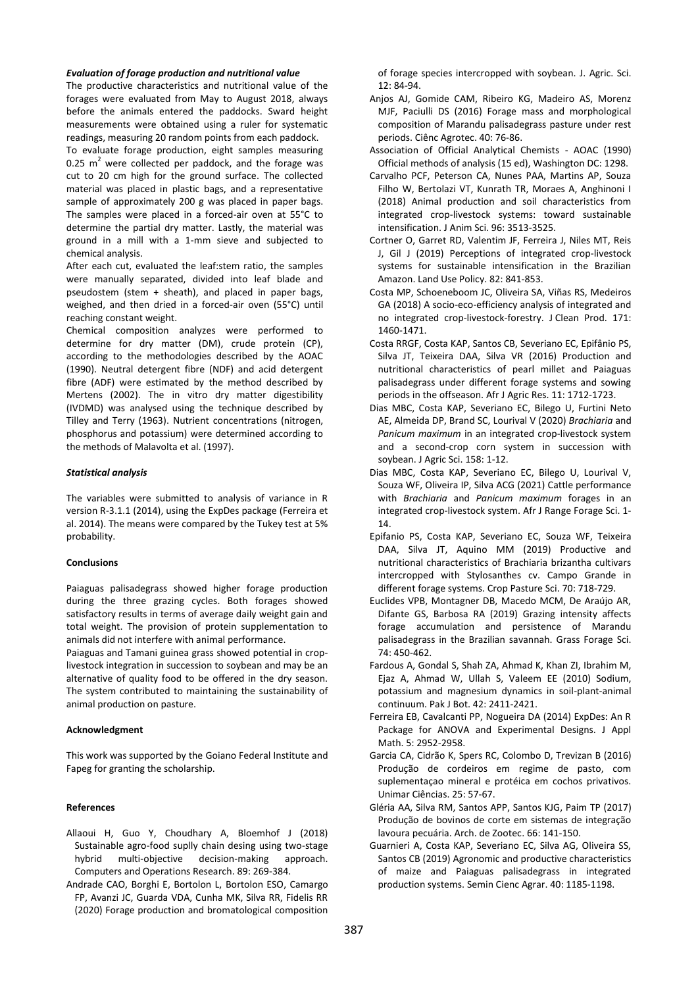### *Evaluation of forage production and nutritional value*

The productive characteristics and nutritional value of the forages were evaluated from May to August 2018, always before the animals entered the paddocks. Sward height measurements were obtained using a ruler for systematic readings, measuring 20 random points from each paddock.

To evaluate forage production, eight samples measuring 0.25  $m^2$  were collected per paddock, and the forage was cut to 20 cm high for the ground surface. The collected material was placed in plastic bags, and a representative sample of approximately 200 g was placed in paper bags. The samples were placed in a forced-air oven at 55°C to determine the partial dry matter. Lastly, the material was ground in a mill with a 1-mm sieve and subjected to chemical analysis.

After each cut, evaluated the leaf:stem ratio, the samples were manually separated, divided into leaf blade and pseudostem (stem + sheath), and placed in paper bags, weighed, and then dried in a forced-air oven (55°C) until reaching constant weight.

Chemical composition analyzes were performed to determine for dry matter (DM), crude protein (CP), according to the methodologies described by the AOAC (1990). Neutral detergent fibre (NDF) and acid detergent fibre (ADF) were estimated by the method described by Mertens (2002). The in vitro dry matter digestibility (IVDMD) was analysed using the technique described by Tilley and Terry (1963). Nutrient concentrations (nitrogen, phosphorus and potassium) were determined according to the methods of Malavolta et al. (1997).

#### *Statistical analysis*

The variables were submitted to analysis of variance in R version R-3.1.1 (2014), using the ExpDes package (Ferreira et al. 2014). The means were compared by the Tukey test at 5% probability.

## **Conclusions**

Paiaguas palisadegrass showed higher forage production during the three grazing cycles. Both forages showed satisfactory results in terms of average daily weight gain and total weight. The provision of protein supplementation to animals did not interfere with animal performance.

Paiaguas and Tamani guinea grass showed potential in croplivestock integration in succession to soybean and may be an alternative of quality food to be offered in the dry season. The system contributed to maintaining the sustainability of animal production on pasture.

#### **Acknowledgment**

This work was supported by the Goiano Federal Institute and Fapeg for granting the scholarship.

### **References**

- Allaoui H, Guo Y, Choudhary A, Bloemhof J (2018) Sustainable agro-food suplly chain desing using two-stage hybrid multi-objective decision-making approach. Computers and Operations Research. 89: 269-384.
- Andrade CAO, Borghi E, Bortolon L, Bortolon ESO, Camargo FP, Avanzi JC, Guarda VDA, Cunha MK, Silva RR, Fidelis RR (2020) Forage production and bromatological composition

of forage species intercropped with soybean. J. Agric. Sci. 12: 84-94.

- Anjos AJ, Gomide CAM, Ribeiro KG, Madeiro AS, Morenz MJF, Paciulli DS (2016) Forage mass and morphological composition of Marandu palisadegrass pasture under rest periods. Ciênc Agrotec. 40: 76-86.
- Association of Official Analytical Chemists AOAC (1990) Official methods of analysis (15 ed), Washington DC: 1298.
- Carvalho PCF, Peterson CA, Nunes PAA, Martins AP, Souza Filho W, Bertolazi VT, Kunrath TR, Moraes A, Anghinoni I (2018) Animal production and soil characteristics from integrated crop-livestock systems: toward sustainable intensification. J Anim Sci. 96: 3513-3525.
- Cortner O, Garret RD, Valentim JF, Ferreira J, Niles MT, Reis J, Gil J (2019) Perceptions of integrated crop-livestock systems for sustainable intensification in the Brazilian Amazon. Land Use Policy. 82: 841-853.
- Costa MP, Schoeneboom JC, Oliveira SA, Viñas RS, Medeiros GA (2018) A socio-eco-efficiency analysis of integrated and no integrated crop-livestock-forestry. J Clean Prod. 171: 1460-1471.
- Costa RRGF, Costa KAP, Santos CB, Severiano EC, Epifânio PS, Silva JT, Teixeira DAA, Silva VR (2016) Production and nutritional characteristics of pearl millet and Paiaguas palisadegrass under different forage systems and sowing periods in the offseason. Afr J Agric Res. 11: 1712-1723.
- Dias MBC, Costa KAP, Severiano EC, Bilego U, Furtini Neto AE, Almeida DP, Brand SC, Lourival V (2020) *Brachiaria* and *Panicum maximum* in an integrated crop-livestock system and a second-crop corn system in succession with soybean. J Agric Sci. 158: 1-12.
- Dias MBC, Costa KAP, Severiano EC, Bilego U, Lourival V, Souza WF, Oliveira IP, Silva ACG (2021) Cattle performance with *Brachiaria* and *Panicum maximum* forages in an integrated crop-livestock system. Afr J Range Forage Sci. 1- 14.
- Epifanio PS, Costa KAP, Severiano EC, Souza WF, Teixeira DAA, Silva JT, Aquino MM (2019) Productive and nutritional characteristics of Brachiaria brizantha cultivars intercropped with Stylosanthes cv. Campo Grande in different forage systems. Crop Pasture Sci. 70: 718-729.
- Euclides VPB, Montagner DB, Macedo MCM, De Araújo AR, Difante GS, Barbosa RA (2019) Grazing intensity affects forage accumulation and persistence of Marandu palisadegrass in the Brazilian savannah. Grass Forage Sci. 74: 450-462.
- Fardous A, Gondal S, Shah ZA, Ahmad K, Khan ZI, Ibrahim M, Ejaz A, Ahmad W, Ullah S, Valeem EE (2010) Sodium, potassium and magnesium dynamics in soil-plant-animal continuum. Pak J Bot. 42: 2411-2421.
- Ferreira EB, Cavalcanti PP, Nogueira DA (2014) ExpDes: An R Package for ANOVA and Experimental Designs. J Appl Math. 5: 2952-2958.
- Garcia CA, Cidrão K, Spers RC, Colombo D, Trevizan B (2016) Produção de cordeiros em regime de pasto, com suplementaçao mineral e protéica em cochos privativos. Unimar Ciências. 25: 57-67.
- Gléria AA, Silva RM, Santos APP, Santos KJG, Paim TP (2017) Produção de bovinos de corte em sistemas de integração lavoura pecuária. Arch. de Zootec. 66: 141-150.
- Guarnieri A, Costa KAP, Severiano EC, Silva AG, Oliveira SS, Santos CB (2019) Agronomic and productive characteristics of maize and Paiaguas palisadegrass in integrated production systems. Semin Cienc Agrar. 40: 1185-1198.